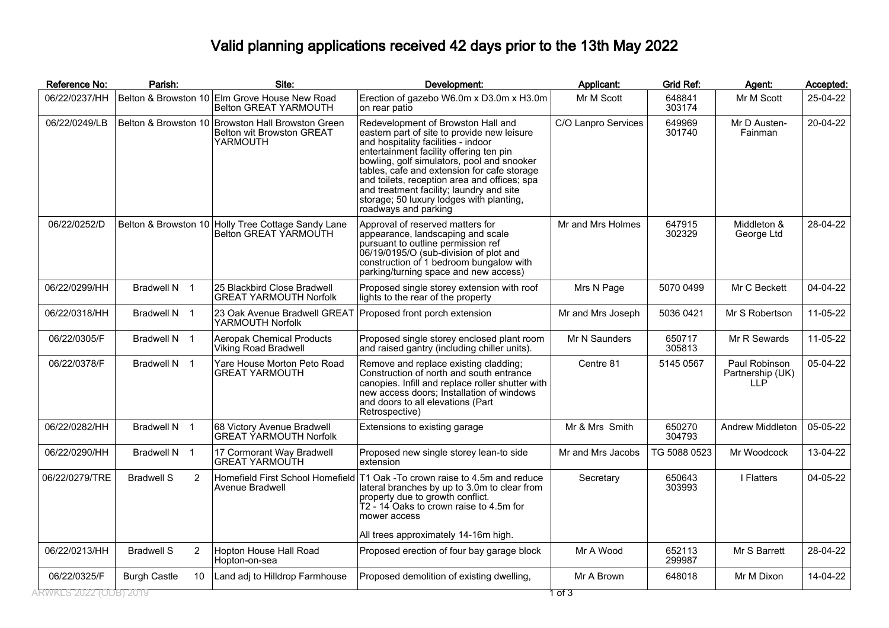## Valid planning applications received 42 days prior to the 13th May 2022

| Reference No:         | Parish:                |    | Site:                                                                                      | Development:                                                                                                                                                                                                                                                                                                                                                                                                                     | Applicant:          | <b>Grid Ref:</b> | Agent:                                                | Accepted: |
|-----------------------|------------------------|----|--------------------------------------------------------------------------------------------|----------------------------------------------------------------------------------------------------------------------------------------------------------------------------------------------------------------------------------------------------------------------------------------------------------------------------------------------------------------------------------------------------------------------------------|---------------------|------------------|-------------------------------------------------------|-----------|
| 06/22/0237/HH         |                        |    | Belton & Browston 10 Elm Grove House New Road<br><b>Belton GREAT YARMOUTH</b>              | Erection of gazebo W6.0m x D3.0m x H3.0m<br>on rear patio                                                                                                                                                                                                                                                                                                                                                                        | Mr M Scott          | 648841<br>303174 | Mr M Scott                                            | 25-04-22  |
| 06/22/0249/LB         |                        |    | Belton & Browston 10 Browston Hall Browston Green<br>Belton wit Browston GREAT<br>YARMOUTH | Redevelopment of Browston Hall and<br>eastern part of site to provide new leisure<br>and hospitality facilities - indoor<br>entertainment facility offering ten pin<br>bowling, golf simulators, pool and snooker<br>tables, cafe and extension for cafe storage<br>and toilets, reception area and offices; spa<br>and treatment facility; laundry and site<br>storage; 50 luxury lodges with planting,<br>roadways and parking | C/O Lanpro Services | 649969<br>301740 | Mr D Austen-<br>Fainman                               | 20-04-22  |
| 06/22/0252/D          |                        |    | Belton & Browston 10 Holly Tree Cottage Sandy Lane<br>Belton GREAT YARMOUTH                | Approval of reserved matters for<br>appearance, landscaping and scale<br>pursuant to outline permission ref<br>06/19/0195/O (sub-division of plot and<br>construction of 1 bedroom bungalow with<br>parking/turning space and new access)                                                                                                                                                                                        | Mr and Mrs Holmes   | 647915<br>302329 | Middleton &<br>George Ltd                             | 28-04-22  |
| 06/22/0299/HH         | Bradwell N 1           |    | 25 Blackbird Close Bradwell<br><b>GREAT YARMOUTH Norfolk</b>                               | Proposed single storey extension with roof<br>lights to the rear of the property                                                                                                                                                                                                                                                                                                                                                 | Mrs N Page          | 5070 0499        | Mr C Beckett                                          | 04-04-22  |
| 06/22/0318/HH         | Bradwell N 1           |    | 23 Oak Avenue Bradwell GREAT<br>YARMOUTH Norfolk                                           | Proposed front porch extension                                                                                                                                                                                                                                                                                                                                                                                                   | Mr and Mrs Joseph   | 5036 0421        | Mr S Robertson                                        | 11-05-22  |
| 06/22/0305/F          | Bradwell N 1           |    | <b>Aeropak Chemical Products</b><br>Viking Road Bradwell                                   | Proposed single storey enclosed plant room<br>and raised gantry (including chiller units).                                                                                                                                                                                                                                                                                                                                       | Mr N Saunders       | 650717<br>305813 | Mr R Sewards                                          | 11-05-22  |
| 06/22/0378/F          | Bradwell N 1           |    | Yare House Morton Peto Road<br><b>GREAT YARMOUTH</b>                                       | Remove and replace existing cladding;<br>Construction of north and south entrance<br>canopies. Infill and replace roller shutter with<br>new access doors; Installation of windows<br>and doors to all elevations (Part<br>Retrospective)                                                                                                                                                                                        | Centre 81           | 5145 0567        | Paul Robinson<br>Partnership (UK)<br>LLP <sup>1</sup> | 05-04-22  |
| 06/22/0282/HH         | Bradwell N 1           |    | 68 Victory Avenue Bradwell<br><b>GREAT YARMOUTH Norfolk</b>                                | Extensions to existing garage                                                                                                                                                                                                                                                                                                                                                                                                    | Mr & Mrs Smith      | 650270<br>304793 | Andrew Middleton                                      | 05-05-22  |
| 06/22/0290/HH         | Bradwell N 1           |    | 17 Cormorant Way Bradwell<br><b>GREAT YARMOUTH</b>                                         | Proposed new single storey lean-to side<br>extension                                                                                                                                                                                                                                                                                                                                                                             | Mr and Mrs Jacobs   | TG 5088 0523     | Mr Woodcock                                           | 13-04-22  |
| 06/22/0279/TRE        | <b>Bradwell S</b><br>2 |    | Avenue Bradwell                                                                            | Homefield First School Homefield T1 Oak -To crown raise to 4.5m and reduce<br>lateral branches by up to 3.0m to clear from<br>property due to growth conflict.<br>T2 - 14 Oaks to crown raise to 4.5m for<br>mower access<br>All trees approximately 14-16m high.                                                                                                                                                                | Secretary           | 650643<br>303993 | I Flatters                                            | 04-05-22  |
| 06/22/0213/HH         | <b>Bradwell S</b><br>2 |    | Hopton House Hall Road<br>Hopton-on-sea                                                    | Proposed erection of four bay garage block                                                                                                                                                                                                                                                                                                                                                                                       | Mr A Wood           | 652113<br>299987 | Mr S Barrett                                          | 28-04-22  |
| 06/22/0325/F          | <b>Burgh Castle</b>    | 10 | Land adj to Hilldrop Farmhouse                                                             | Proposed demolition of existing dwelling,                                                                                                                                                                                                                                                                                                                                                                                        | Mr A Brown          | 648018           | Mr M Dixon                                            | 14-04-22  |
| RWKLS 2022 (ODB) 2019 |                        |    |                                                                                            |                                                                                                                                                                                                                                                                                                                                                                                                                                  | ा उ                 |                  |                                                       |           |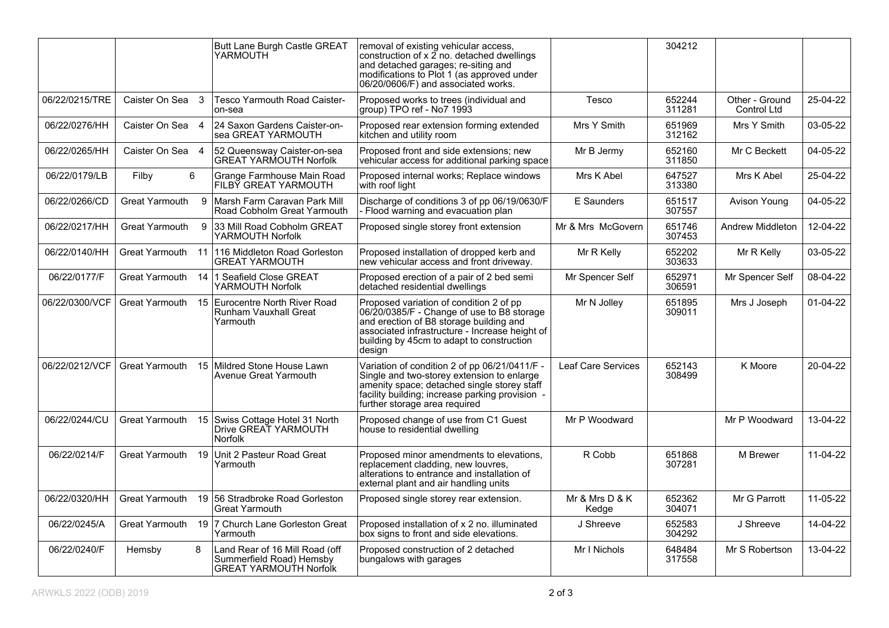|                |                       |              | Butt Lane Burgh Castle GREAT<br>YARMOUTH                                                    | removal of existing vehicular access,<br>construction of x 2 no. detached dwellings<br>and detached garages; re-siting and<br>modifications to Plot 1 (as approved under<br>06/20/0606/F) and associated works.                            |                         | 304212           |                               |            |
|----------------|-----------------------|--------------|---------------------------------------------------------------------------------------------|--------------------------------------------------------------------------------------------------------------------------------------------------------------------------------------------------------------------------------------------|-------------------------|------------------|-------------------------------|------------|
| 06/22/0215/TRE | Caister On Sea 3      |              | Tesco Yarmouth Road Caister-<br>on-sea                                                      | Proposed works to trees (individual and<br>group) TPO ref - No7 1993                                                                                                                                                                       | Tesco                   | 652244<br>311281 | Other - Ground<br>Control Ltd | 25-04-22   |
| 06/22/0276/HH  | Caister On Sea 4      |              | 24 Saxon Gardens Caister-on-<br>sea GREAT YARMOUTH                                          | Proposed rear extension forming extended<br>kitchen and utility room                                                                                                                                                                       | Mrs Y Smith             | 651969<br>312162 | Mrs Y Smith                   | 03-05-22   |
| 06/22/0265/HH  | Caister On Sea 4      |              | 52 Queensway Caister-on-sea<br><b>GREAT YARMOUTH Norfolk</b>                                | Proposed front and side extensions; new<br>vehicular access for additional parking space                                                                                                                                                   | Mr B Jermy              | 652160<br>311850 | Mr C Beckett                  | 04-05-22   |
| 06/22/0179/LB  | Filby                 | 6            | Grange Farmhouse Main Road<br>FILBY GREAT YARMOUTH                                          | Proposed internal works; Replace windows<br>with roof light                                                                                                                                                                                | Mrs K Abel              | 647527<br>313380 | Mrs K Abel                    | 25-04-22   |
| 06/22/0266/CD  | <b>Great Yarmouth</b> |              | 9   Marsh Farm Caravan Park Mill<br>Road Cobholm Great Yarmouth                             | Discharge of conditions 3 of pp 06/19/0630/F<br>- Flood warning and evacuation plan                                                                                                                                                        | E Saunders              | 651517<br>307557 | Avison Young                  | 04-05-22   |
| 06/22/0217/HH  | <b>Great Yarmouth</b> | $\mathbf{Q}$ | 33 Mill Road Cobholm GREAT<br>YARMOUTH Norfolk                                              | Proposed single storey front extension                                                                                                                                                                                                     | Mr & Mrs McGovern       | 651746<br>307453 | Andrew Middleton              | 12-04-22   |
| 06/22/0140/HH  | Great Yarmouth        |              | 11 116 Middleton Road Gorleston<br><b>GREAT YARMOUTH</b>                                    | Proposed installation of dropped kerb and<br>new vehicular access and front driveway.                                                                                                                                                      | Mr R Kelly              | 652202<br>303633 | Mr R Kelly                    | 03-05-22   |
| 06/22/0177/F   | Great Yarmouth        |              | 14 1 Seafield Close GREAT<br>YARMOUTH Norfolk                                               | Proposed erection of a pair of 2 bed semi<br>detached residential dwellings                                                                                                                                                                | Mr Spencer Self         | 652971<br>306591 | Mr Spencer Self               | 08-04-22   |
| 06/22/0300/VCF | Great Yarmouth        |              | 15 Eurocentre North River Road<br>Runham Vauxhall Great<br>Yarmouth                         | Proposed variation of condition 2 of pp.<br>06/20/0385/F - Change of use to B8 storage<br>and erection of B8 storage building and<br>associated infrastructure - Increase height of<br>building by 45cm to adapt to construction<br>design | Mr N Jolley             | 651895<br>309011 | Mrs J Joseph                  | $01-04-22$ |
| 06/22/0212/VCF | Great Yarmouth        |              | 15 Mildred Stone House Lawn<br>Avenue Great Yarmouth                                        | Variation of condition 2 of pp 06/21/0411/F -<br>Single and two-storey extension to enlarge<br>amenity space; detached single storey staff<br>facility building; increase parking provision -<br>further storage area required             | Leaf Care Services      | 652143<br>308499 | K Moore                       | 20-04-22   |
| 06/22/0244/CU  | Great Yarmouth        |              | 15 Swiss Cottage Hotel 31 North<br>Drive GREAT YARMOUTH<br><b>Norfolk</b>                   | Proposed change of use from C1 Guest<br>house to residential dwelling                                                                                                                                                                      | Mr P Woodward           |                  | Mr P Woodward                 | 13-04-22   |
| 06/22/0214/F   | Great Yarmouth        | 19           | Unit 2 Pasteur Road Great<br>Yarmouth                                                       | Proposed minor amendments to elevations,<br>replacement cladding, new louvres,<br>alterations to entrance and installation of<br>external plant and air handling units                                                                     | R Cobb                  | 651868<br>307281 | M Brewer                      | 11-04-22   |
| 06/22/0320/HH  | <b>Great Yarmouth</b> |              | 19 56 Stradbroke Road Gorleston<br>Great Yarmouth                                           | Proposed single storey rear extension.                                                                                                                                                                                                     | Mr & Mrs D & K<br>Kedge | 652362<br>304071 | Mr G Parrott                  | 11-05-22   |
| 06/22/0245/A   | <b>Great Yarmouth</b> |              | 19 7 Church Lane Gorleston Great<br>Yarmouth                                                | Proposed installation of x 2 no. illuminated<br>box signs to front and side elevations.                                                                                                                                                    | J Shreeve               | 652583<br>304292 | J Shreeve                     | 14-04-22   |
| 06/22/0240/F   | Hemsby                | 8            | Land Rear of 16 Mill Road (off<br>Summerfield Road) Hemsbv<br><b>GREAT YARMOUTH Norfolk</b> | Proposed construction of 2 detached<br>bungalows with garages                                                                                                                                                                              | Mr I Nichols            | 648484<br>317558 | Mr S Robertson                | 13-04-22   |